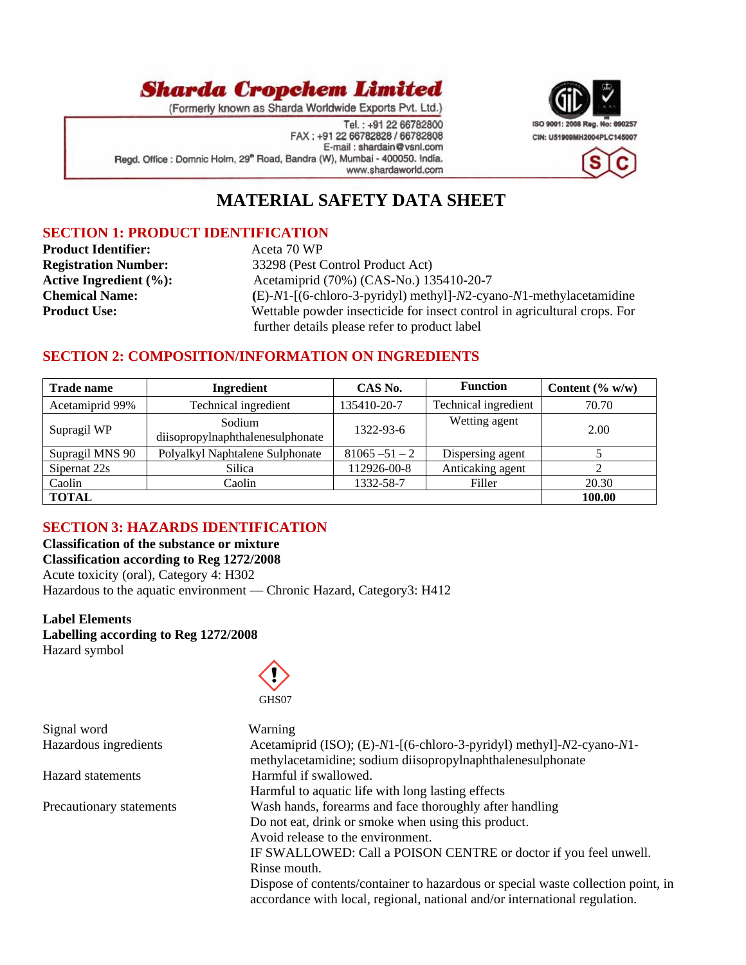

(Formerly known as Sharda Worldwide Exports Pvt. Ltd.)

Tel.: +91 22 66782800 FAX: +91 22 66782828 / 66782808 E-mail: shardain@vsnl.com Regd. Office : Domnic Holm, 29<sup>th</sup> Road, Bandra (W), Mumbai - 400050. India. www.shardaworld.com



## **MATERIAL SAFETY DATA SHEET**

### **SECTION 1: PRODUCT IDENTIFICATION**

**Product Identifier:** Aceta 70 WP

**Registration Number:** 33298 (Pest Control Product Act) **Active Ingredient (%):** <br> **Acetamiprid (70%) (CAS-No.) 135410-20-7**<br> **Chemical Name:** (E)-N1-[(6-chloro-3-pyridyl) methyl]-N2-cya **Chemical Name: (**E)-*N*1-[(6-chloro-3-pyridyl) methyl]-*N*2-cyano-*N*1-methylacetamidine **Product Use:** Wettable powder insecticide for insect control in agricultural crops. For further details please refer to product label

## **SECTION 2: COMPOSITION/INFORMATION ON INGREDIENTS**

| <b>Trade name</b> | <b>Ingredient</b>                          | CAS No.          | <b>Function</b>      | Content $(\% w/w)$ |
|-------------------|--------------------------------------------|------------------|----------------------|--------------------|
| Acetamiprid 99%   | Technical ingredient                       | 135410-20-7      | Technical ingredient | 70.70              |
| Supragil WP       | Sodium<br>diisopropylnaphthalenesulphonate | 1322-93-6        | Wetting agent        | 2.00               |
| Supragil MNS 90   | Polyalkyl Naphtalene Sulphonate            | $81065 - 51 - 2$ | Dispersing agent     |                    |
| Sipernat 22s      | Silica                                     | 112926-00-8      | Anticaking agent     |                    |
| Caolin            | Caolin                                     | 1332-58-7        | Filler               | 20.30              |
| <b>TOTAL</b>      |                                            |                  |                      | 100.00             |

## **SECTION 3: HAZARDS IDENTIFICATION**

**Classification of the substance or mixture Classification according to Reg 1272/2008** Acute toxicity (oral), Category 4: H302 Hazardous to the aquatic environment — Chronic Hazard, Category3: H412

#### **Label Elements Labelling according to Reg 1272/2008** Hazard symbol





| Signal word              | Warning                                                                                                                                                        |
|--------------------------|----------------------------------------------------------------------------------------------------------------------------------------------------------------|
| Hazardous ingredients    | Acetamiprid (ISO); (E)-N1-[(6-chloro-3-pyridyl) methyl]-N2-cyano-N1-                                                                                           |
|                          | methylacetamidine; sodium diisopropylnaphthalenesulphonate                                                                                                     |
| <b>Hazard</b> statements | Harmful if swallowed.                                                                                                                                          |
|                          | Harmful to aquatic life with long lasting effects                                                                                                              |
| Precautionary statements | Wash hands, forearms and face thoroughly after handling                                                                                                        |
|                          | Do not eat, drink or smoke when using this product.                                                                                                            |
|                          | Avoid release to the environment.                                                                                                                              |
|                          | IF SWALLOWED: Call a POISON CENTRE or doctor if you feel unwell.                                                                                               |
|                          | Rinse mouth.                                                                                                                                                   |
|                          | Dispose of contents/container to hazardous or special waste collection point, in<br>accordance with local, regional, national and/or international regulation. |
|                          |                                                                                                                                                                |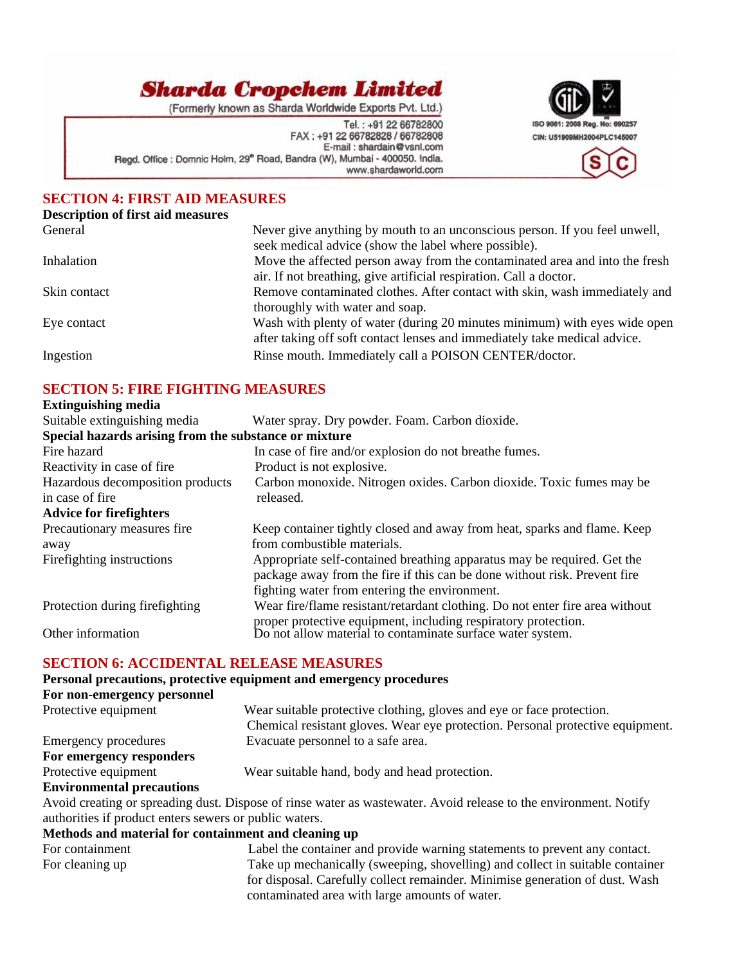(Formerly known as Sharda Worldwide Exports Pvt. Ltd.)

Tel.: +91 22 66782800 FAX: +91 22 66782828 / 66782808 E-mail: shardain@vsnl.com Regd. Office : Domnic Holm, 29<sup>th</sup> Road, Bandra (W), Mumbai - 400050. India. www.shardaworld.com



## **SECTION 4: FIRST AID MEASURES**

#### **Description of first aid measures**

| General      | Never give anything by mouth to an unconscious person. If you feel unwell,<br>seek medical advice (show the label where possible). |
|--------------|------------------------------------------------------------------------------------------------------------------------------------|
| Inhalation   | Move the affected person away from the contaminated area and into the fresh                                                        |
|              | air. If not breathing, give artificial respiration. Call a doctor.                                                                 |
| Skin contact | Remove contaminated clothes. After contact with skin, wash immediately and                                                         |
|              | thoroughly with water and soap.                                                                                                    |
| Eye contact  | Wash with plenty of water (during 20 minutes minimum) with eyes wide open                                                          |
|              | after taking off soft contact lenses and immediately take medical advice.                                                          |
| Ingestion    | Rinse mouth. Immediately call a POISON CENTER/doctor.                                                                              |
|              |                                                                                                                                    |

### **SECTION 5: FIRE FIGHTING MEASURES**

| <b>Extinguishing media</b>                            |                                                                                                                                                      |  |
|-------------------------------------------------------|------------------------------------------------------------------------------------------------------------------------------------------------------|--|
| Suitable extinguishing media                          | Water spray. Dry powder. Foam. Carbon dioxide.                                                                                                       |  |
| Special hazards arising from the substance or mixture |                                                                                                                                                      |  |
| Fire hazard                                           | In case of fire and/or explosion do not breathe fumes.                                                                                               |  |
| Reactivity in case of fire.                           | Product is not explosive.                                                                                                                            |  |
| Hazardous decomposition products                      | Carbon monoxide. Nitrogen oxides. Carbon dioxide. Toxic fumes may be                                                                                 |  |
| in case of fire                                       | released.                                                                                                                                            |  |
| <b>Advice for firefighters</b>                        |                                                                                                                                                      |  |
| Precautionary measures fire                           | Keep container tightly closed and away from heat, sparks and flame. Keep                                                                             |  |
| away                                                  | from combustible materials.                                                                                                                          |  |
| Firefighting instructions                             | Appropriate self-contained breathing apparatus may be required. Get the<br>package away from the fire if this can be done without risk. Prevent fire |  |
|                                                       | fighting water from entering the environment.                                                                                                        |  |
| Protection during firefighting                        | Wear fire/flame resistant/retardant clothing. Do not enter fire area without                                                                         |  |
| Other information                                     | proper protective equipment, including respiratory protection.<br>Do not allow material to contaminate surface water system.                         |  |
| <b>SECTION 6: ACCIDENTAL RELEASE MEASURES</b>         |                                                                                                                                                      |  |

### **Personal precautions, protective equipment and emergency procedures**

## **For non-emergency personnel**

Protective equipment Wear suitable protective clothing, gloves and eye or face protection. Chemical resistant gloves. Wear eye protection. Personal protective equipment. Emergency procedures Evacuate personnel to a safe area. **For emergency responders** Protective equipment Wear suitable hand, body and head protection.

#### **Environmental precautions**

Avoid creating or spreading dust. Dispose of rinse water as wastewater. Avoid release to the environment. Notify authorities if product enters sewers or public waters.

#### **Methods and material for containment and cleaning up**

| For containment | Label the container and provide warning statements to prevent any contact.    |
|-----------------|-------------------------------------------------------------------------------|
| For cleaning up | Take up mechanically (sweeping, shovelling) and collect in suitable container |
|                 | for disposal. Carefully collect remainder. Minimise generation of dust. Wash  |
|                 | contaminated area with large amounts of water.                                |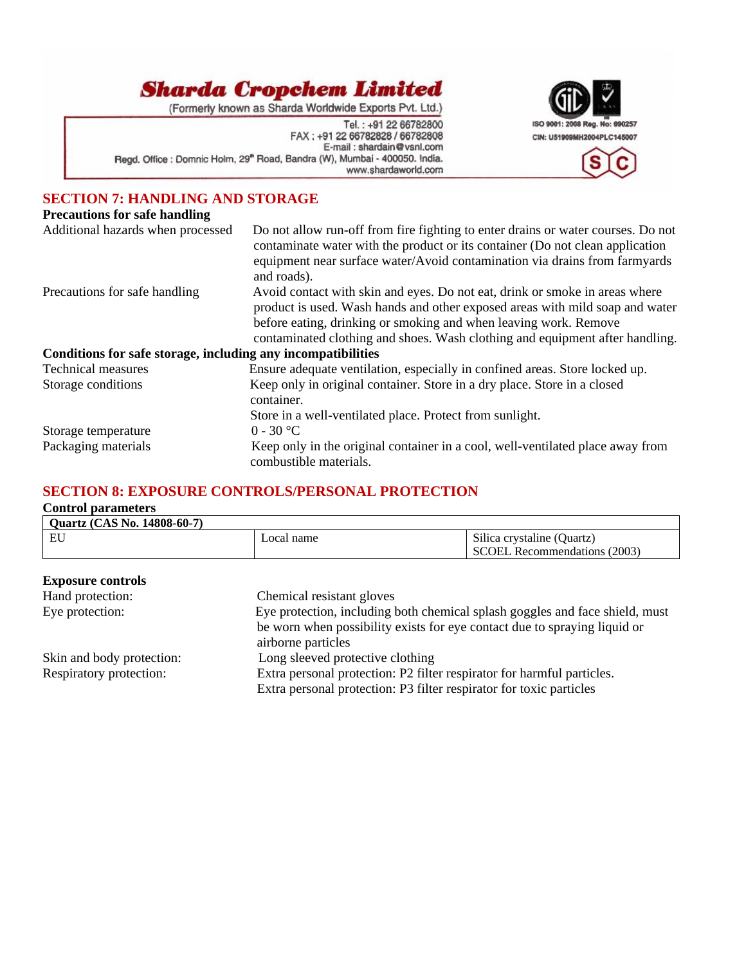(Formerly known as Sharda Worldwide Exports Pvt. Ltd.)

Tel.: +91 22 66782800<br>FAX: +91 22 66782828 / 66782808 E-mail: shardain@vsnl.com Regd. Office : Domnic Holm, 29<sup>th</sup> Road, Bandra (W), Mumbai - 400050. India. www.shardaworld.com



## **SECTION 7: HANDLING AND STORAGE**

#### **Precautions for safe handling**

| Additional hazards when processed                            | Do not allow run-off from fire fighting to enter drains or water courses. Do not<br>contaminate water with the product or its container (Do not clean application<br>equipment near surface water/Avoid contamination via drains from farmyards<br>and roads).                                                  |
|--------------------------------------------------------------|-----------------------------------------------------------------------------------------------------------------------------------------------------------------------------------------------------------------------------------------------------------------------------------------------------------------|
| Precautions for safe handling                                | Avoid contact with skin and eyes. Do not eat, drink or smoke in areas where<br>product is used. Wash hands and other exposed areas with mild soap and water<br>before eating, drinking or smoking and when leaving work. Remove<br>contaminated clothing and shoes. Wash clothing and equipment after handling. |
| Conditions for safe storage, including any incompatibilities |                                                                                                                                                                                                                                                                                                                 |
| <b>Technical measures</b>                                    | Ensure adequate ventilation, especially in confined areas. Store locked up.                                                                                                                                                                                                                                     |
| Storage conditions                                           | Keep only in original container. Store in a dry place. Store in a closed<br>container.                                                                                                                                                                                                                          |
|                                                              | Store in a well-ventilated place. Protect from sunlight.                                                                                                                                                                                                                                                        |
| Storage temperature                                          | $0 - 30$ °C                                                                                                                                                                                                                                                                                                     |
| Packaging materials                                          | Keep only in the original container in a cool, well-ventilated place away from<br>combustible materials.                                                                                                                                                                                                        |

## **SECTION 8: EXPOSURE CONTROLS/PERSONAL PROTECTION**

#### **Control parameters**

| <b>Quartz (CAS No. 14808-60-7)</b> |           |                              |
|------------------------------------|-----------|------------------------------|
| EU                                 | ocal name | Silica crystaline (Quartz)   |
|                                    |           | SCOEL Recommendations (2003) |

| <b>Exposure controls</b>  |                                                                              |
|---------------------------|------------------------------------------------------------------------------|
| Hand protection:          | Chemical resistant gloves                                                    |
| Eye protection:           | Eye protection, including both chemical splash goggles and face shield, must |
|                           | be worn when possibility exists for eye contact due to spraying liquid or    |
|                           | airborne particles                                                           |
| Skin and body protection: | Long sleeved protective clothing                                             |
| Respiratory protection:   | Extra personal protection: P2 filter respirator for harmful particles.       |
|                           | Extra personal protection: P3 filter respirator for toxic particles          |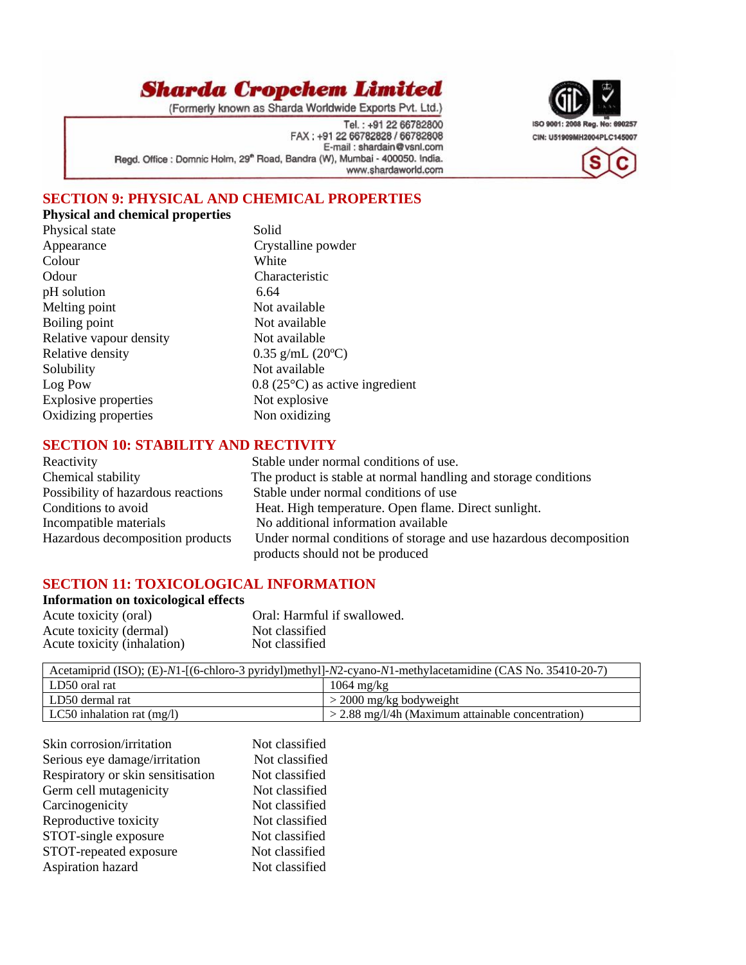(Formerly known as Sharda Worldwide Exports Pvt. Ltd.)

Tel.: +91 22 66782800 FAX: +91 22 66782828 / 66782808 E-mail: shardain@vsnl.com Regd. Office : Domnic Holm, 29<sup>th</sup> Road, Bandra (W), Mumbai - 400050. India. www.shardaworld.com



## **SECTION 9: PHYSICAL AND CHEMICAL PROPERTIES**

## **Physical and chemical properties**

| Physical state              | Solic             |
|-----------------------------|-------------------|
| Appearance                  | Crys              |
| Colour                      | Whit              |
| Odour                       | Char              |
| pH solution                 | 6.64              |
| Melting point               | Not a             |
| Boiling point               | Not a             |
| Relative vapour density     | Not a             |
| Relative density            | 0.35              |
| Solubility                  | Not $\varepsilon$ |
| Log Pow                     | 0.8(2)            |
| <b>Explosive properties</b> | Not 6             |
| Oxidizing properties        | Non               |
|                             |                   |

Solid Crystalline powder White Characteristic Not available Not available Not available  $0.35$  g/mL (20 $^{\circ}$ C) Not available  $0.8$  (25 $\degree$ C) as active ingredient Not explosive Non oxidizing

#### **SECTION 10: STABILITY AND RECTIVITY**

| Reactivity                         | Stable under normal conditions of use.                             |
|------------------------------------|--------------------------------------------------------------------|
| Chemical stability                 | The product is stable at normal handling and storage conditions    |
| Possibility of hazardous reactions | Stable under normal conditions of use                              |
| Conditions to avoid                | Heat. High temperature. Open flame. Direct sunlight.               |
| Incompatible materials             | No additional information available                                |
| Hazardous decomposition products   | Under normal conditions of storage and use hazardous decomposition |
|                                    | products should not be produced                                    |

#### **SECTION 11: TOXICOLOGICAL INFORMATION**

| <b>Information on toxicological effects</b> |                             |  |
|---------------------------------------------|-----------------------------|--|
| Acute toxicity (oral)                       | Oral: Harmful if swallowed. |  |
| Acute toxicity (dermal)                     | Not classified              |  |
| Acute toxicity (inhalation)                 | Not classified              |  |

| Acetamiprid (ISO); (E)-N1-[(6-chloro-3 pyridyl)methyl]-N2-cyano-N1-methylacetamidine (CAS No. 35410-20-7) |                                                     |  |
|-----------------------------------------------------------------------------------------------------------|-----------------------------------------------------|--|
| LD50 oral rat                                                                                             | $1064 \text{ mg/kg}$                                |  |
| LD50 dermal rat                                                                                           | $>$ 2000 mg/kg bodyweight                           |  |
| LC50 inhalation rat $(mg/l)$                                                                              | $>$ 2.88 mg/l/4h (Maximum attainable concentration) |  |

| Not classified |
|----------------|
| Not classified |
| Not classified |
| Not classified |
| Not classified |
| Not classified |
| Not classified |
| Not classified |
| Not classified |
|                |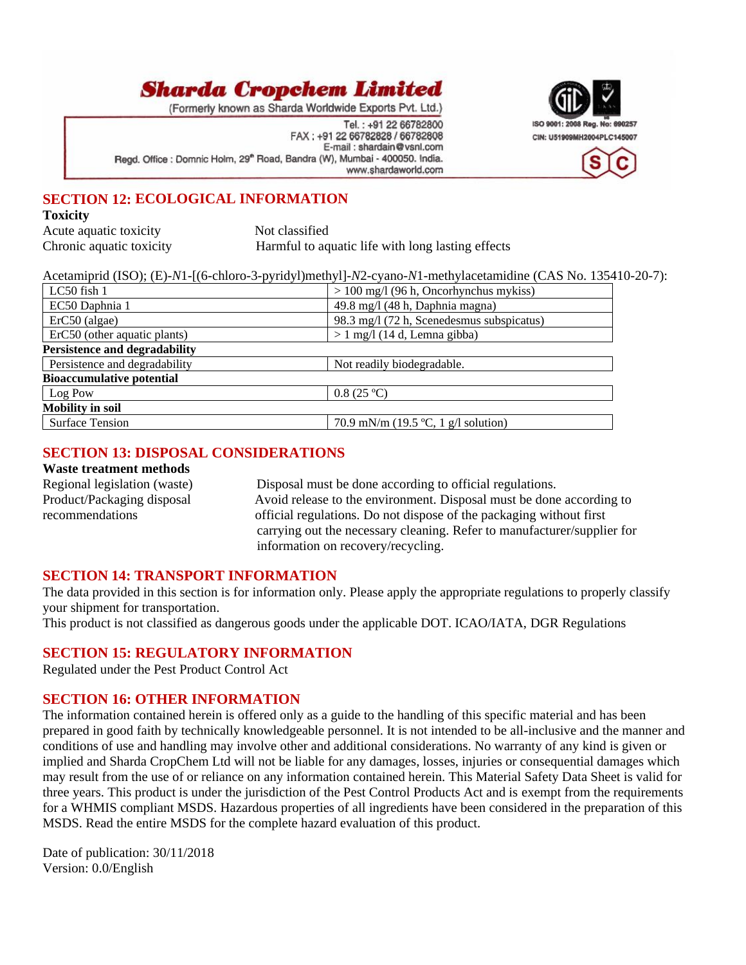(Formerly known as Sharda Worldwide Exports Pvt. Ltd.)

Tel.: +91 22 66782800 FAX: +91 22 66782828 / 66782808 E-mail: shardain@vsnl.com Regd. Office : Domnic Holm, 29<sup>th</sup> Road, Bandra (W), Mumbai - 400050. India. www.shardaworld.com



## **SECTION 12: ECOLOGICAL INFORMATION**

#### **Toxicity**

Acute aquatic toxicity Not classified

Chronic aquatic toxicity Harmful to aquatic life with long lasting effects

|                                  | Acetamiprid (ISO); (E)-N1-[(6-chloro-3-pyridyl)methyl]-N2-cyano-N1-methylacetamidine (CAS No. 135410-20-7): |
|----------------------------------|-------------------------------------------------------------------------------------------------------------|
| $LC50$ fish 1                    | $> 100$ mg/l (96 h, Oncorhynchus mykiss)                                                                    |
| EC50 Daphnia 1                   | 49.8 mg/l (48 h, Daphnia magna)                                                                             |
| $ErC50$ (algae)                  | 98.3 mg/l (72 h, Scenedesmus subspicatus)                                                                   |
| ErC50 (other aquatic plants)     | $> 1$ mg/l (14 d, Lemna gibba)                                                                              |
| Persistence and degradability    |                                                                                                             |
| Persistence and degradability    | Not readily biodegradable.                                                                                  |
| <b>Bioaccumulative potential</b> |                                                                                                             |
| Log Pow                          | 0.8(25 °C)                                                                                                  |
| <b>Mobility in soil</b>          |                                                                                                             |
| <b>Surface Tension</b>           | 70.9 mN/m $(19.5 °C, 1 g/l$ solution)                                                                       |

### **SECTION 13: DISPOSAL CONSIDERATIONS**

#### **Waste treatment methods**

Regional legislation (waste) Disposal must be done according to official regulations. Product/Packaging disposalAvoid release to the environment. Disposal must be done according to recommendations official regulations. Do not dispose of the packaging without first carrying out the necessary cleaning. Refer to manufacturer/supplier for information on recovery/recycling.

#### **SECTION 14: TRANSPORT INFORMATION**

The data provided in this section is for information only. Please apply the appropriate regulations to properly classify your shipment for transportation.

This product is not classified as dangerous goods under the applicable DOT. ICAO/IATA, DGR Regulations

#### **SECTION 15: REGULATORY INFORMATION**

Regulated under the Pest Product Control Act

#### **SECTION 16: OTHER INFORMATION**

The information contained herein is offered only as a guide to the handling of this specific material and has been prepared in good faith by technically knowledgeable personnel. It is not intended to be all-inclusive and the manner and conditions of use and handling may involve other and additional considerations. No warranty of any kind is given or implied and Sharda CropChem Ltd will not be liable for any damages, losses, injuries or consequential damages which may result from the use of or reliance on any information contained herein. This Material Safety Data Sheet is valid for three years. This product is under the jurisdiction of the Pest Control Products Act and is exempt from the requirements for a WHMIS compliant MSDS. Hazardous properties of all ingredients have been considered in the preparation of this MSDS. Read the entire MSDS for the complete hazard evaluation of this product.

Date of publication: 30/11/2018 Version: 0.0/English